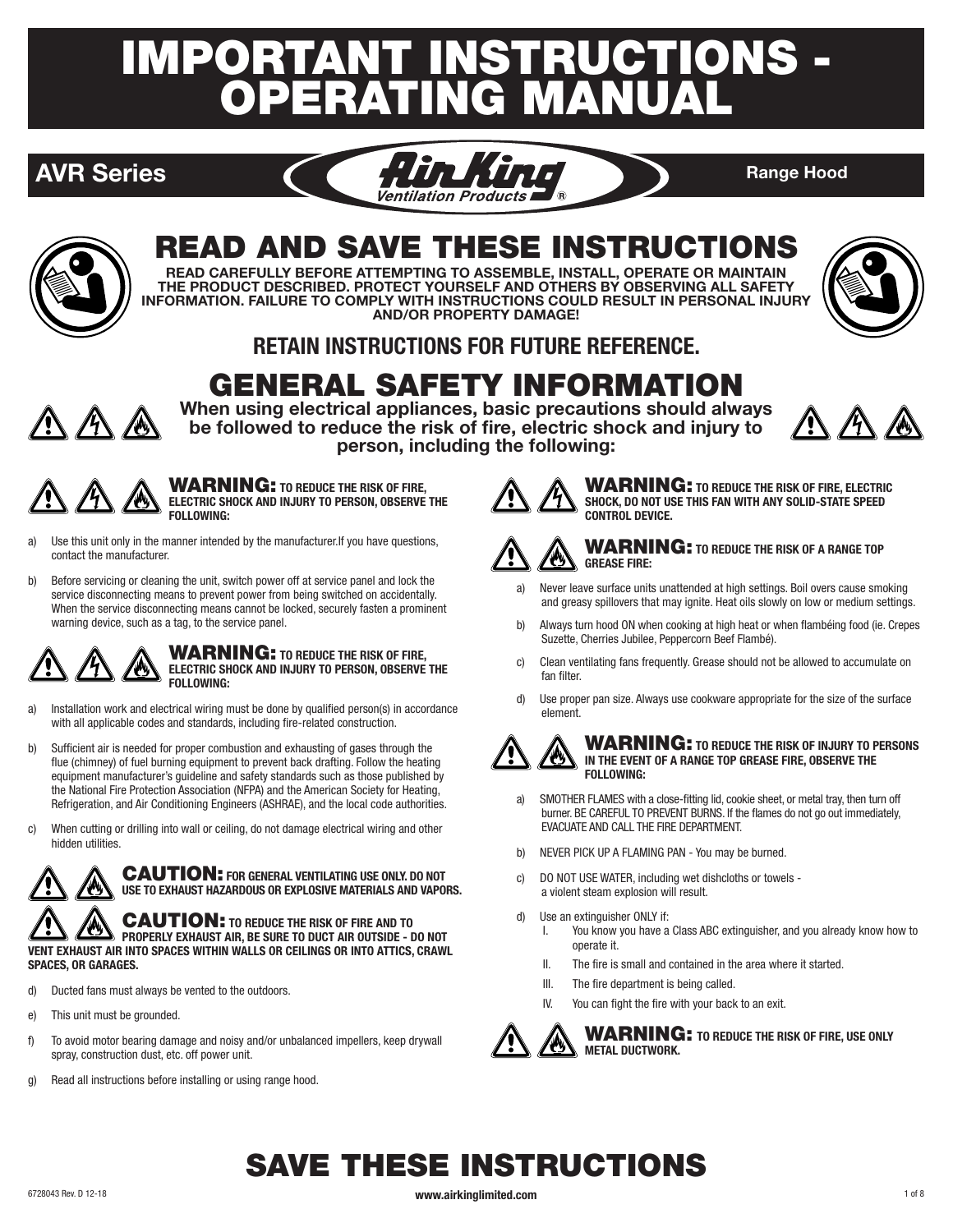# **IMPORTANT INSTRUCTIONS -<br>OPERATING MANUAL** ATING MANU





# READ AND SAVE THESE INSTRUCTIONS

**READ CAREFULLY BEFORE ATTEMPTING TO ASSEMBLE, INSTALL, OPERATE OR MAINTAIN THE PRODUCT DESCRIBED. PROTECT YOURSELF AND OTHERS BY OBSERVING ALL SAFETY INFORMATION. FAILURE TO COMPLY WITH INSTRUCTIONS COULD RESULT IN PERSONAL INJURY AND/OR PROPERTY DAMAGE!**



# **RETAIN INSTRUCTIONS FOR FUTURE REFERENCE.**

# GENERAL SAFETY INFORMATION



**When using electrical appliances, basic precautions should always be followed to reduce the risk of fire, electric shock and injury to person, including the following:**



WARNING: **TO REDUCE THE RISK OF FIRE, ELECTRIC SHOCK AND INJURY TO PERSON, OBSERVE THE FOLLOWING:** 

- a) Use this unit only in the manner intended by the manufacturer.If you have questions, contact the manufacturer.
- b) Before servicing or cleaning the unit, switch power off at service panel and lock the service disconnecting means to prevent power from being switched on accidentally. When the service disconnecting means cannot be locked, securely fasten a prominent warning device, such as a tag, to the service panel.



### WARNING: **TO REDUCE THE RISK OF FIRE, ELECTRIC SHOCK AND INJURY TO PERSON, OBSERVE THE FOLLOWING:**

- a) Installation work and electrical wiring must be done by qualified person(s) in accordance with all applicable codes and standards, including fire-related construction.
- b) Sufficient air is needed for proper combustion and exhausting of gases through the flue (chimney) of fuel burning equipment to prevent back drafting. Follow the heating equipment manufacturer's guideline and safety standards such as those published by the National Fire Protection Association (NFPA) and the American Society for Heating, Refrigeration, and Air Conditioning Engineers (ASHRAE), and the local code authorities.
- c) When cutting or drilling into wall or ceiling, do not damage electrical wiring and other hidden utilities.



CAUTION: **FOR GENERAL VENTILATING USE ONLY. DO NOT USE TO EXHAUST HAZARDOUS OR EXPLOSIVE MATERIALS AND VAPORS.**

CAUTION: **TO REDUCE THE RISK OF FIRE AND TO PROPERLY EXHAUST AIR, BE SURE TO DUCT AIR OUTSIDE - DO NOT VENT EXHAUST AIR INTO SPACES WITHIN WALLS OR CEILINGS OR INTO ATTICS, CRAWL SPACES, OR GARAGES.**

- d) Ducted fans must always be vented to the outdoors.
- e) This unit must be grounded.
- f) To avoid motor bearing damage and noisy and/or unbalanced impellers, keep drywall spray, construction dust, etc. off power unit.
- g) Read all instructions before installing or using range hood.



WARNING: **TO REDUCE THE RISK OF FIRE, ELECTRIC SHOCK, DO NOT USE THIS FAN WITH ANY SOLID-STATE SPEED CONTROL DEVICE.**



### WARNING: **TO REDUCE THE RISK OF A RANGE TOP GREASE FIRE:**

- a) Never leave surface units unattended at high settings. Boil overs cause smoking and greasy spillovers that may ignite. Heat oils slowly on low or medium settings.
- b) Always turn hood ON when cooking at high heat or when flambéing food (ie. Crepes Suzette, Cherries Jubilee, Peppercorn Beef Flambé).
- c) Clean ventilating fans frequently. Grease should not be allowed to accumulate on fan filter.
- d) Use proper pan size. Always use cookware appropriate for the size of the surface element.



WARNING: **TO REDUCE THE RISK OF INJURY TO PERSONS IN THE EVENT OF A RANGE TOP GREASE FIRE, OBSERVE THE FOLLOWING:**

- a) SMOTHER FLAMES with a close-fitting lid, cookie sheet, or metal tray, then turn off burner. BE CAREFUL TO PREVENT BURNS. If the flames do not go out immediately, EVACUATE AND CALL THE FIRE DEPARTMENT.
- b) NEVER PICK UP A FLAMING PAN You may be burned.
- c) DO NOT USE WATER, including wet dishcloths or towels a violent steam explosion will result.
- d) Use an extinguisher ONLY if:
	- I. You know you have a Class ABC extinguisher, and you already know how to operate it.
	- II. The fire is small and contained in the area where it started.
	- III. The fire department is being called.
	- IV. You can fight the fire with your back to an exit.



### WARNING: **TO REDUCE THE RISK OF FIRE, USE ONLY METAL DUCTWORK.**

# SAVE THESE INSTRUCTIONS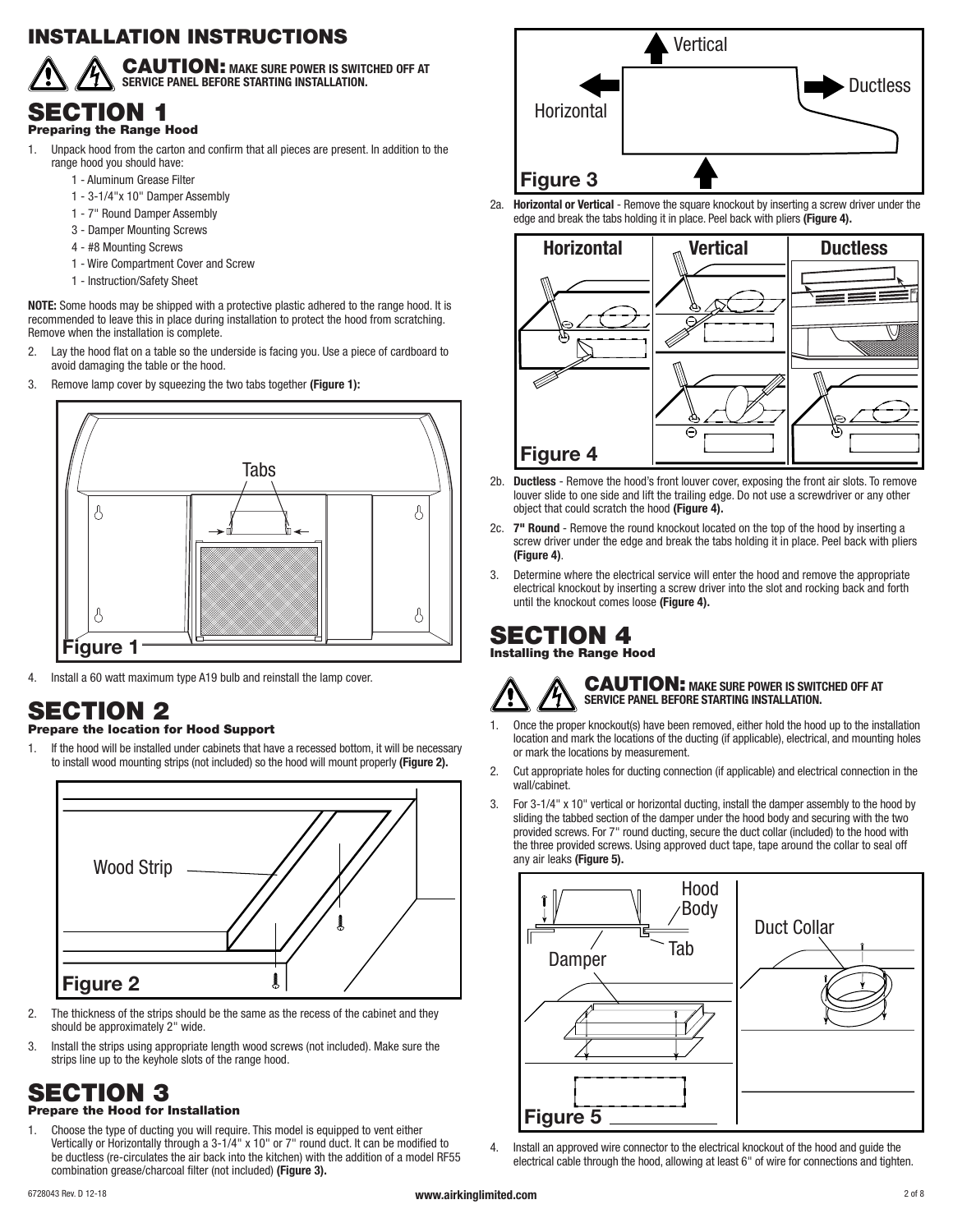# INSTALLATION INSTRUCTIONS



CAUTION: **MAKE SURE POWER IS SWITCHED OFF AT SERVICE PANEL BEFORE STARTING INSTALLATION.**

### SECTION 1 Preparing the Range Hood

- 1. Unpack hood from the carton and confirm that all pieces are present. In addition to the range hood you should have:
	- 1 Aluminum Grease Filter
	- 1 3-1/4"x 10" Damper Assembly
	- 1 7" Round Damper Assembly
	- 3 Damper Mounting Screws
	- 4 #8 Mounting Screws
	- 1 Wire Compartment Cover and Screw
	- 1 Instruction/Safety Sheet

**NOTE:** Some hoods may be shipped with a protective plastic adhered to the range hood. It is recommended to leave this in place during installation to protect the hood from scratching. Remove when the installation is complete.

- 2. Lay the hood flat on a table so the underside is facing you. Use a piece of cardboard to avoid damaging the table or the hood.
- 3. Remove lamp cover by squeezing the two tabs together **(Figure 1):**



4. Install a 60 watt maximum type A19 bulb and reinstall the lamp cover.

# SECTION 2

### Prepare the location for Hood Support

1. If the hood will be installed under cabinets that have a recessed bottom, it will be necessary to install wood mounting strips (not included) so the hood will mount properly **(Figure 2).**



- 2. The thickness of the strips should be the same as the recess of the cabinet and they should be approximately 2" wide.
- 3. Install the strips using appropriate length wood screws (not included). Make sure the strips line up to the keyhole slots of the range hood.

# SECTION 3

### Prepare the Hood for Installation

1. Choose the type of ducting you will require. This model is equipped to vent either Vertically or Horizontally through a 3-1/4" x 10" or 7" round duct. It can be modified to be ductless (re-circulates the air back into the kitchen) with the addition of a model RF55 combination grease/charcoal filter (not included) **(Figure 3).**



2a. **Horizontal or Vertical** - Remove the square knockout by inserting a screw driver under the edge and break the tabs holding it in place. Peel back with pliers **(Figure 4).**



- 2b. **Ductless** Remove the hood's front louver cover, exposing the front air slots. To remove louver slide to one side and lift the trailing edge. Do not use a screwdriver or any other object that could scratch the hood **(Figure 4).**
- 2c. **7" Round** Remove the round knockout located on the top of the hood by inserting a screw driver under the edge and break the tabs holding it in place. Peel back with pliers **(Figure 4)**.
- 3. Determine where the electrical service will enter the hood and remove the appropriate electrical knockout by inserting a screw driver into the slot and rocking back and forth until the knockout comes loose **(Figure 4).**

# SECTION 4

Installing the Range Hood

### CAUTION: **MAKE SURE POWER IS SWITCHED OFF AT SERVICE PANEL BEFORE STARTING INSTALLATION.**

- 1. Once the proper knockout(s) have been removed, either hold the hood up to the installation location and mark the locations of the ducting (if applicable), electrical, and mounting holes or mark the locations by measurement.
- 2. Cut appropriate holes for ducting connection (if applicable) and electrical connection in the wall/cabinet.
- 3. For 3-1/4" x 10" vertical or horizontal ducting, install the damper assembly to the hood by sliding the tabbed section of the damper under the hood body and securing with the two provided screws. For 7" round ducting, secure the duct collar (included) to the hood with the three provided screws. Using approved duct tape, tape around the collar to seal off any air leaks **(Figure 5).**



4. Install an approved wire connector to the electrical knockout of the hood and guide the electrical cable through the hood, allowing at least 6" of wire for connections and tighten.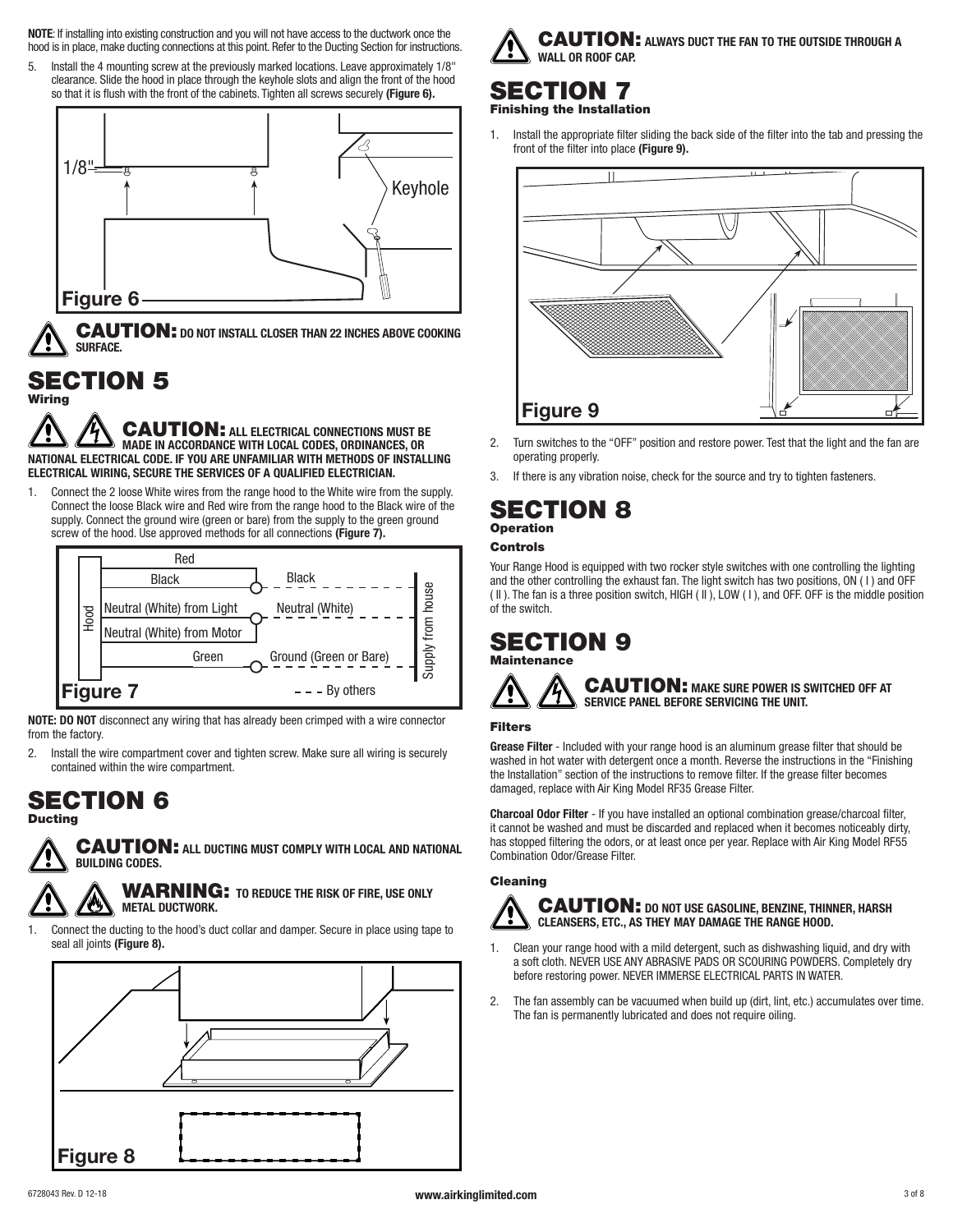**NOTE**: If installing into existing construction and you will not have access to the ductwork once the hood is in place, make ducting connections at this point. Refer to the Ducting Section for instructions.

5. Install the 4 mounting screw at the previously marked locations. Leave approximately 1/8" clearance. Slide the hood in place through the keyhole slots and align the front of the hood so that it is flush with the front of the cabinets. Tighten all screws securely **(Figure 6).**



CAUTION: **DO NOT INSTALL CLOSER THAN 22 INCHES ABOVE COOKING SURFACE.**

# SECTION 5

Wiring

CAUTION: **ALL ELECTRICAL CONNECTIONS MUST BE MADE IN ACCORDANCE WITH LOCAL CODES, ORDINANCES, OR NATIONAL ELECTRICAL CODE. IF YOU ARE UNFAMILIAR WITH METHODS OF INSTALLING ELECTRICAL WIRING, SECURE THE SERVICES OF A QUALIFIED ELECTRICIAN.**

1. Connect the 2 loose White wires from the range hood to the White wire from the supply. Connect the loose Black wire and Red wire from the range hood to the Black wire of the supply. Connect the ground wire (green or bare) from the supply to the green ground screw of the hood. Use approved methods for all connections **(Figure 7).**



**NOTE: DO NOT** disconnect any wiring that has already been crimped with a wire connector from the factory.

2. Install the wire compartment cover and tighten screw. Make sure all wiring is securely contained within the wire compartment.

## SECTION 6 **Ducting**



CAUTION: **ALL DUCTING MUST COMPLY WITH LOCAL AND NATIONAL BUILDING CODES.**

WARNING: **TO REDUCE THE RISK OF FIRE, USE ONLY METAL DUCTWORK.**

1. Connect the ducting to the hood's duct collar and damper. Secure in place using tape to seal all joints **(Figure 8).**





# SECTION 7 Finishing the Installation

1. Install the appropriate filter sliding the back side of the filter into the tab and pressing the front of the filter into place **(Figure 9).**



- 2. Turn switches to the "OFF" position and restore power. Test that the light and the fan are operating properly.
- If there is any vibration noise, check for the source and try to tighten fasteners.

### SECTION 8 Operation

### Controls

Your Range Hood is equipped with two rocker style switches with one controlling the lighting and the other controlling the exhaust fan. The light switch has two positions, ON ( I ) and OFF ( II ). The fan is a three position switch, HIGH ( II ), LOW ( I ), and OFF. OFF is the middle position of the switch.

SECTION 9 **Maintenance** 

### CAUTION: **MAKE SURE POWER IS SWITCHED OFF AT SERVICE PANEL BEFORE SERVICING THE UNIT.**

### Filters

**Grease Filter** - Included with your range hood is an aluminum grease filter that should be washed in hot water with detergent once a month. Reverse the instructions in the "Finishing the Installation" section of the instructions to remove filter. If the grease filter becomes damaged, replace with Air King Model RF35 Grease Filter.

**Charcoal Odor Filter** - If you have installed an optional combination grease/charcoal filter, it cannot be washed and must be discarded and replaced when it becomes noticeably dirty, has stopped filtering the odors, or at least once per year. Replace with Air King Model RF55 Combination Odor/Grease Filter.

### Cleaning



### CAUTION: **DO NOT USE GASOLINE, BENZINE, THINNER, HARSH CLEANSERS, ETC., AS THEY MAY DAMAGE THE RANGE HOOD.**

- 1. Clean your range hood with a mild detergent, such as dishwashing liquid, and dry with a soft cloth. NEVER USE ANY ABRASIVE PADS OR SCOURING POWDERS. Completely dry before restoring power. NEVER IMMERSE ELECTRICAL PARTS IN WATER.
- 2. The fan assembly can be vacuumed when build up (dirt, lint, etc.) accumulates over time. The fan is permanently lubricated and does not require oiling.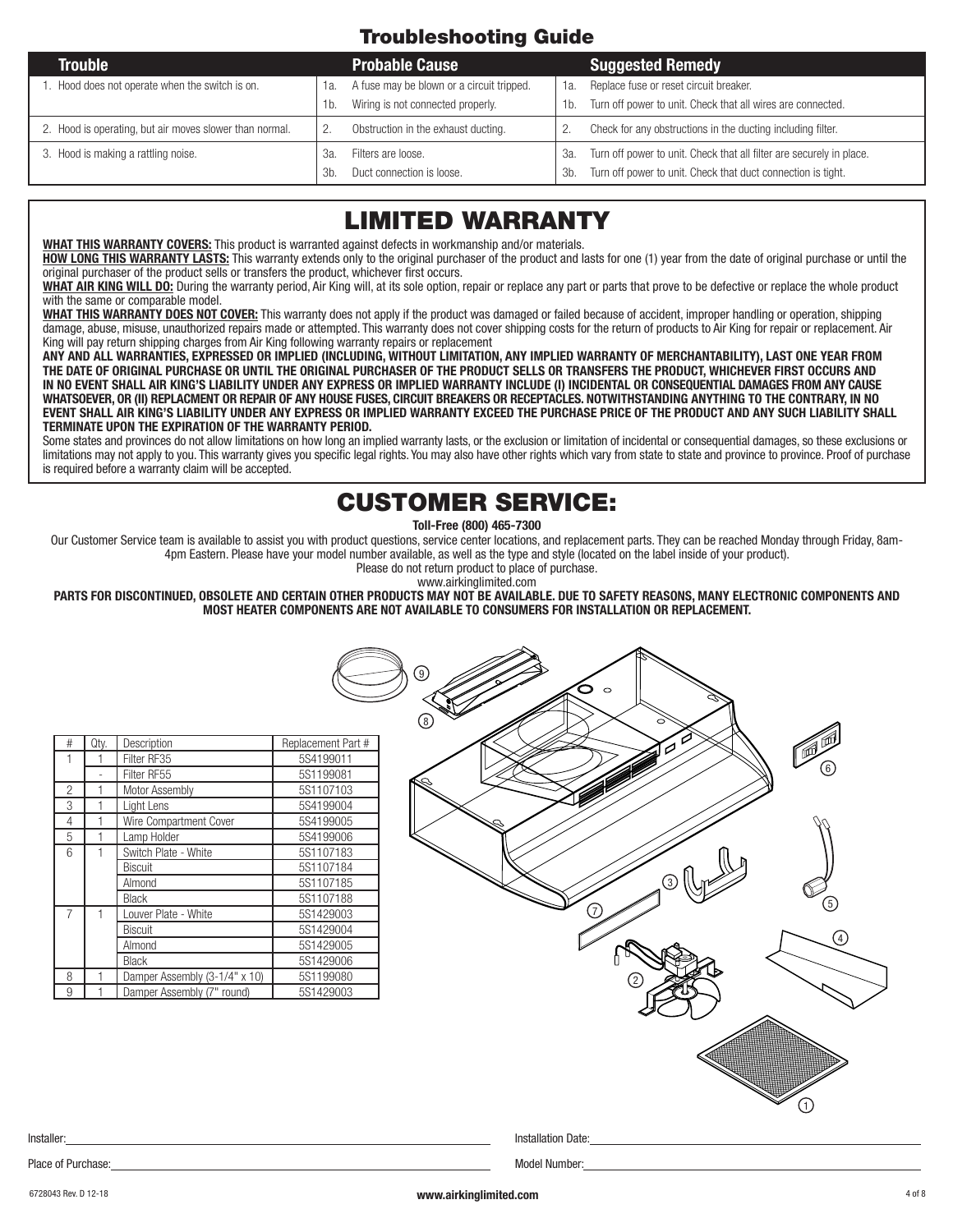# Troubleshooting Guide

| <b>Trouble</b>                                          |     | <b>Probable Cause</b>                     |     | <b>Suggested Remedy</b>                                              |
|---------------------------------------------------------|-----|-------------------------------------------|-----|----------------------------------------------------------------------|
| Hood does not operate when the switch is on.            | 1a. | A fuse may be blown or a circuit tripped. | 1а. | Replace fuse or reset circuit breaker.                               |
|                                                         | 1b. | Wiring is not connected properly.         | 1b. | Turn off power to unit. Check that all wires are connected.          |
| 2. Hood is operating, but air moves slower than normal. |     | Obstruction in the exhaust ducting.       |     | Check for any obstructions in the ducting including filter.          |
| 3. Hood is making a rattling noise.                     | :За | Filters are loose.                        | За. | Turn off power to unit. Check that all filter are securely in place. |
|                                                         | 3h  | Duct connection is loose.                 | 3b. | Turn off power to unit. Check that duct connection is tight.         |

# LIMITED WARRANTY

**WHAT THIS WARRANTY COVERS:** This product is warranted against defects in workmanship and/or materials.

**HOW LONG THIS WARRANTY LASTS:** This warranty extends only to the original purchaser of the product and lasts for one (1) year from the date of original purchase or until the original purchaser of the product sells or transfers the product, whichever first occurs.

**WHAT AIR KING WILL DO:** During the warranty period, Air King will, at its sole option, repair or replace any part or parts that prove to be defective or replace the whole product with the same or comparable model.

**WHAT THIS WARRANTY DOES NOT COVER:** This warranty does not apply if the product was damaged or failed because of accident, improper handling or operation, shipping damage, abuse, misuse, unauthorized repairs made or attempted. This warranty does not cover shipping costs for the return of products to Air King for repair or replacement. Air King will pay return shipping charges from Air King following warranty repairs or replacement

**ANY AND ALL WARRANTIES, EXPRESSED OR IMPLIED (INCLUDING, WITHOUT LIMITATION, ANY IMPLIED WARRANTY OF MERCHANTABILITY), LAST ONE YEAR FROM THE DATE OF ORIGINAL PURCHASE OR UNTIL THE ORIGINAL PURCHASER OF THE PRODUCT SELLS OR TRANSFERS THE PRODUCT, WHICHEVER FIRST OCCURS AND IN NO EVENT SHALL AIR KING'S LIABILITY UNDER ANY EXPRESS OR IMPLIED WARRANTY INCLUDE (I) INCIDENTAL OR CONSEQUENTIAL DAMAGES FROM ANY CAUSE WHATSOEVER, OR (II) REPLACMENT OR REPAIR OF ANY HOUSE FUSES, CIRCUIT BREAKERS OR RECEPTACLES. NOTWITHSTANDING ANYTHING TO THE CONTRARY, IN NO EVENT SHALL AIR KING'S LIABILITY UNDER ANY EXPRESS OR IMPLIED WARRANTY EXCEED THE PURCHASE PRICE OF THE PRODUCT AND ANY SUCH LIABILITY SHALL TERMINATE UPON THE EXPIRATION OF THE WARRANTY PERIOD.**

Some states and provinces do not allow limitations on how long an implied warranty lasts, or the exclusion or limitation of incidental or consequential damages, so these exclusions or limitations may not apply to you. This warranty gives you specific legal rights. You may also have other rights which vary from state to state and province to province. Proof of purchase is required before a warranty claim will be accepted.

# CUSTOMER SERVICE:

**Toll-Free (800) 465-7300**

Our Customer Service team is available to assist you with product questions, service center locations, and replacement parts. They can be reached Monday through Friday, 8am-4pm Eastern. Please have your model number available, as well as the type and style (located on the label inside of your product).

Please do not return product to place of purchase.

www.airkinglimited.com

**PARTS FOR DISCONTINUED, OBSOLETE AND CERTAIN OTHER PRODUCTS MAY NOT BE AVAILABLE. DUE TO SAFETY REASONS, MANY ELECTRONIC COMPONENTS AND MOST HEATER COMPONENTS ARE NOT AVAILABLE TO CONSUMERS FOR INSTALLATION OR REPLACEMENT.**

| Qty. | Description | Replacement Part # 3 (7 8 9

2

Place of Purchase: Model Number:

|                |   | Filter RF35                   | 5S4199011 |
|----------------|---|-------------------------------|-----------|
|                |   | Filter RF55                   | 5S1199081 |
| 2              |   | Motor Assembly                | 5S1107103 |
| 3              |   | Light Lens                    | 5S4199004 |
| 4              |   | Wire Compartment Cover        | 5S4199005 |
| 5              |   | Lamp Holder                   | 5S4199006 |
| 6              | 1 | Switch Plate - White          | 5S1107183 |
|                |   | Biscuit                       | 5S1107184 |
|                |   | Almond                        | 5S1107185 |
|                |   | <b>Black</b>                  | 5S1107188 |
| $\overline{7}$ |   | Louver Plate - White          | 5S1429003 |
|                |   | Biscuit                       | 5S1429004 |
|                |   | Almond                        | 5S1429005 |
|                |   | <b>Black</b>                  | 5S1429006 |
| 8              |   | Damper Assembly (3-1/4" x 10) | 5S1199080 |
| 9              |   | Damper Assembly (7" round)    | 5S1429003 |

Installer: Installation Date:

1

4

5

6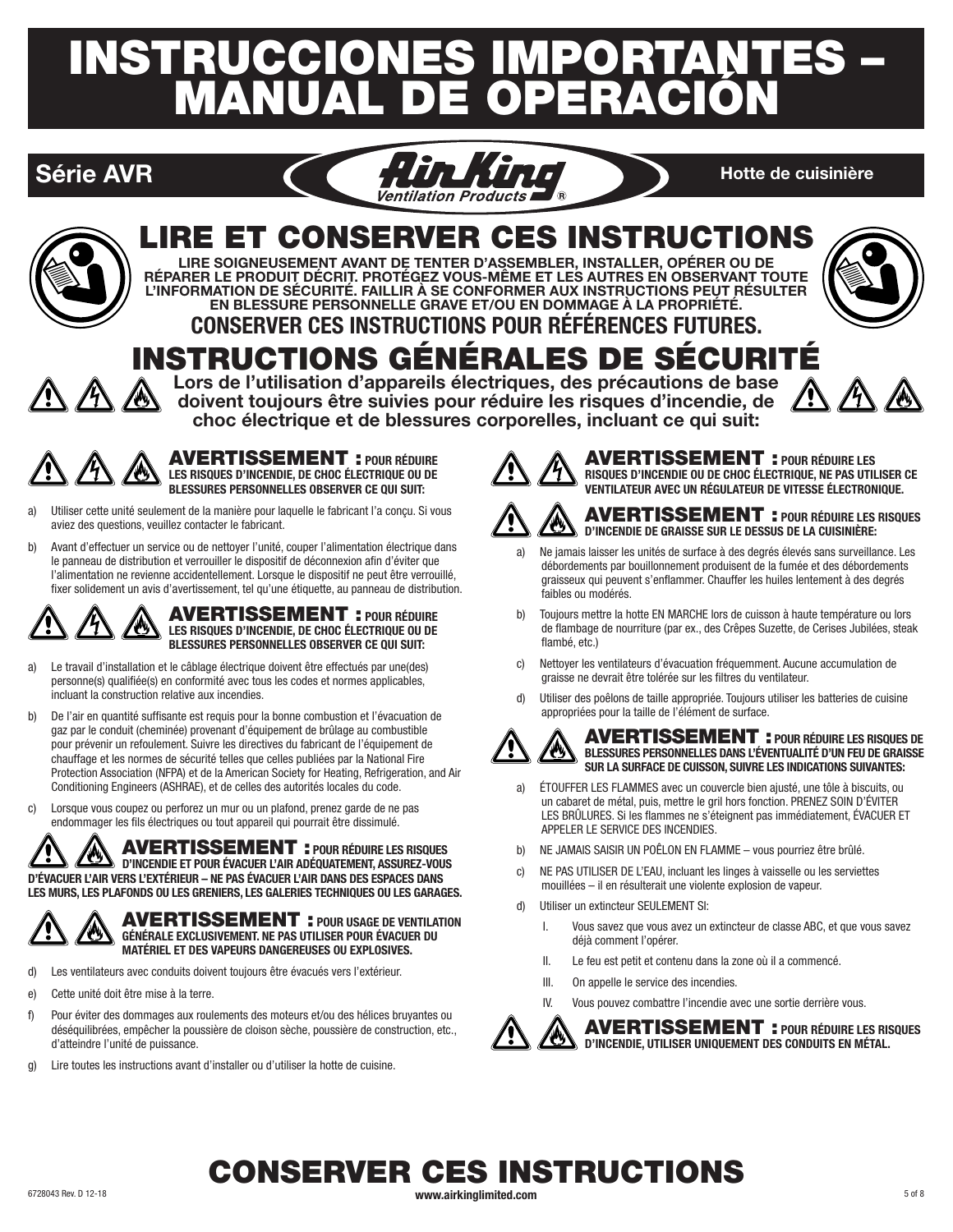# INSTRUCCIONES IMPORTANTES – MANUAL DE OPERACIÓN





# LIRE ET CONSERVER CES INSTRUCTIONS

**LIRE SOIGNEUSEMENT AVANT DE TENTER D'ASSEMBLER, INSTALLER, OPÉRER OU DE RÉPARER LE PRODUIT DÉCRIT. PROTÉGEZ VOUS-MÊME ET LES AUTRES EN OBSERVANT TOUTE L'INFORMATION DE SÉCURITÉ. FAILLIR À SE CONFORMER AUX INSTRUCTIONS PEUT RÉSULTER EN BLESSURE PERSONNELLE GRAVE ET/OU EN DOMMAGE À LA PROPRIÉTÉ.**



# **CONSERVER CES INSTRUCTIONS POUR RÉFÉRENCES FUTURES.** INSTRUCTIONS GÉNÉRALES DE SÉCURITÉ

**Lors de l'utilisation d'appareils électriques, des précautions de base doivent toujours être suivies pour réduire les risques d'incendie, de choc électrique et de blessures corporelles, incluant ce qui suit:**



AVERTISSEMENT : **POUR RÉDUIRE LES RISQUES D'INCENDIE, DE CHOC ÉLECTRIQUE OU DE BLESSURES PERSONNELLES OBSERVER CE QUI SUIT:**

- a) Utiliser cette unité seulement de la manière pour laquelle le fabricant l'a conçu. Si vous aviez des questions, veuillez contacter le fabricant.
- b) Avant d'effectuer un service ou de nettoyer l'unité, couper l'alimentation électrique dans le panneau de distribution et verrouiller le dispositif de déconnexion afin d'éviter que l'alimentation ne revienne accidentellement. Lorsque le dispositif ne peut être verrouillé, fixer solidement un avis d'avertissement, tel qu'une étiquette, au panneau de distribution.



- a) Le travail d'installation et le câblage électrique doivent être effectués par une(des) personne(s) qualifiée(s) en conformité avec tous les codes et normes applicables, incluant la construction relative aux incendies.
- b) De l'air en quantité suffisante est requis pour la bonne combustion et l'évacuation de gaz par le conduit (cheminée) provenant d'équipement de brûlage au combustible pour prévenir un refoulement. Suivre les directives du fabricant de l'équipement de chauffage et les normes de sécurité telles que celles publiées par la National Fire Protection Association (NFPA) et de la American Society for Heating, Refrigeration, and Air Conditioning Engineers (ASHRAE), et de celles des autorités locales du code.
- c) Lorsque vous coupez ou perforez un mur ou un plafond, prenez garde de ne pas endommager les fils électriques ou tout appareil qui pourrait être dissimulé.

AVERTISSEMENT : **POUR RÉDUIRE LES RISQUES D'INCENDIE ET POUR ÉVACUER L'AIR ADÉQUATEMENT, ASSUREZ-VOUS D'ÉVACUER L'AIR VERS L'EXTÉRIEUR – NE PAS ÉVACUER L'AIR DANS DES ESPACES DANS LES MURS, LES PLAFONDS OU LES GRENIERS, LES GALERIES TECHNIQUES OU LES GARAGES.**



AVERTISSEMENT : **POUR USAGE DE VENTILATION GÉNÉRALE EXCLUSIVEMENT. NE PAS UTILISER POUR ÉVACUER DU MATÉRIEL ET DES VAPEURS DANGEREUSES OU EXPLOSIVES.**

- d) Les ventilateurs avec conduits doivent toujours être évacués vers l'extérieur.
- e) Cette unité doit être mise à la terre.
- f) Pour éviter des dommages aux roulements des moteurs et/ou des hélices bruyantes ou déséquilibrées, empêcher la poussière de cloison sèche, poussière de construction, etc., d'atteindre l'unité de puissance.
- g) Lire toutes les instructions avant d'installer ou d'utiliser la hotte de cuisine.



AVERTISSEMENT : **POUR RÉDUIRE LES RISQUES D'INCENDIE OU DE CHOC ÉLECTRIQUE, NE PAS UTILISER CE VENTILATEUR AVEC UN RÉGULATEUR DE VITESSE ÉLECTRONIQUE.**



### AVERTISSEMENT : **POUR RÉDUIRE LES RISQUES**  w **D'INCENDIE DE GRAISSE SUR LE DESSUS DE LA CUISINIÈRE:**

- a) Ne jamais laisser les unités de surface à des degrés élevés sans surveillance. Les débordements par bouillonnement produisent de la fumée et des débordements graisseux qui peuvent s'enflammer. Chauffer les huiles lentement à des degrés faibles ou modérés.
- b) Toujours mettre la hotte EN MARCHE lors de cuisson à haute température ou lors de flambage de nourriture (par ex., des Crêpes Suzette, de Cerises Jubilées, steak flambé, etc.)
- c) Nettoyer les ventilateurs d'évacuation fréquemment. Aucune accumulation de graisse ne devrait être tolérée sur les filtres du ventilateur.
- d) Utiliser des poêlons de taille appropriée. Toujours utiliser les batteries de cuisine appropriées pour la taille de l'élément de surface.



AVERTISSEMENT : **POUR RÉDUIRE LES RISQUES DE BLESSURES PERSONNELLES DANS L'ÉVENTUALITÉ D'UN FEU DE GRAISSE**  <u>/ag</u> **SUR LA SURFACE DE CUISSON, SUIVRE LES INDICATIONS SUIVANTES:**

- a) ÉTOUFFER LES FLAMMES avec un couvercle bien ajusté, une tôle à biscuits, ou un cabaret de métal, puis, mettre le gril hors fonction. PRENEZ SOIN D'ÉVITER LES BRÛLURES. Si les flammes ne s'éteignent pas immédiatement, ÉVACUER ET APPELER LE SERVICE DES INCENDIES.
- b) NE JAMAIS SAISIR UN POÊLON EN FLAMME vous pourriez être brûlé.
- c) NE PAS UTILISER DE L'EAU, incluant les linges à vaisselle ou les serviettes mouillées – il en résulterait une violente explosion de vapeur.
- d) Utiliser un extincteur SEULEMENT SI:
	- I. Vous savez que vous avez un extincteur de classe ABC, et que vous savez déjà comment l'opérer.
	- II. Le feu est petit et contenu dans la zone où il a commencé.
	- III. On appelle le service des incendies.
	- IV. Vous pouvez combattre l'incendie avec une sortie derrière vous.

AVERTISSEMENT : **POUR RÉDUIRE LES RISQUES D'INCENDIE, UTILISER UNIQUEMENT DES CONDUITS EN MÉTAL.**

# 6728043 Rev. D 12-18 **www.airkinglimited.com** 5 of 8 CONSERVER CES INSTRUCTIONS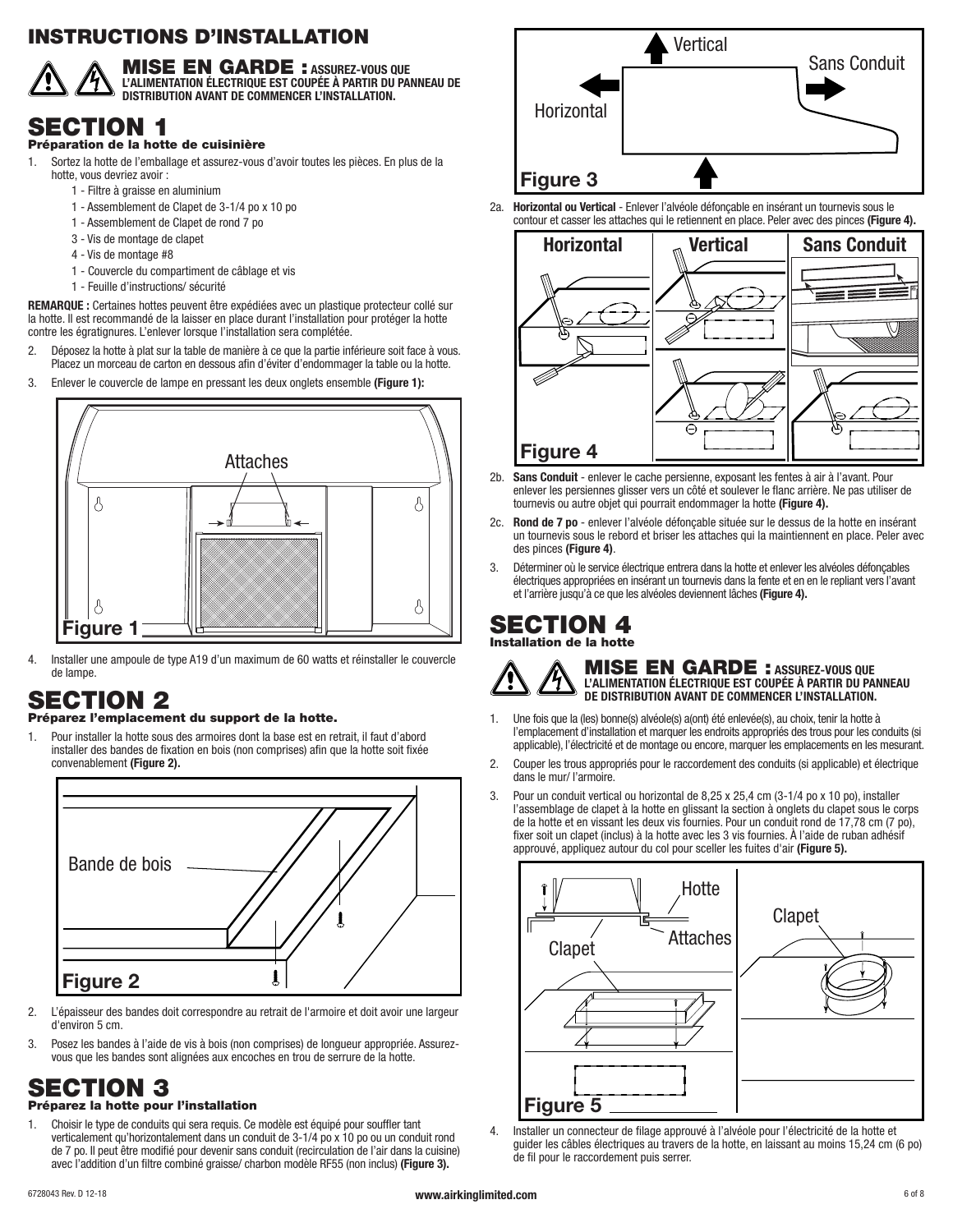# INSTRUCTIONS D'INSTALLATION



MISE EN GARDE : **ASSUREZ-VOUS QUE L'ALIMENTATION ÉLECTRIQUE EST COUPÉE À PARTIR DU PANNEAU DE DISTRIBUTION AVANT DE COMMENCER L'INSTALLATION.**

# SECTION 1

### Préparation de la hotte de cuisinière

- 1. Sortez la hotte de l'emballage et assurez-vous d'avoir toutes les pièces. En plus de la hotte, vous devriez avoir :
	- 1 Filtre à graisse en aluminium
	- 1 Assemblement de Clapet de 3-1/4 po x 10 po
	- 1 Assemblement de Clapet de rond 7 po
	- 3 Vis de montage de clapet
	- 4 Vis de montage #8
	- 1 Couvercle du compartiment de câblage et vis
	- 1 Feuille d'instructions/ sécurité

**REMARQUE :** Certaines hottes peuvent être expédiées avec un plastique protecteur collé sur la hotte. Il est recommandé de la laisser en place durant l'installation pour protéger la hotte contre les égratignures. L'enlever lorsque l'installation sera complétée.

- 2. Déposez la hotte à plat sur la table de manière à ce que la partie inférieure soit face à vous. Placez un morceau de carton en dessous afin d'éviter d'endommager la table ou la hotte.
- 3. Enlever le couvercle de lampe en pressant les deux onglets ensemble **(Figure 1):**



4. Installer une ampoule de type A19 d'un maximum de 60 watts et réinstaller le couvercle de lampe.

# SECTION 2

### Préparez l'emplacement du support de la hotte.

1. Pour installer la hotte sous des armoires dont la base est en retrait, il faut d'abord installer des bandes de fixation en bois (non comprises) afin que la hotte soit fixée convenablement **(Figure 2).**



- 2. L'épaisseur des bandes doit correspondre au retrait de l'armoire et doit avoir une largeur d'environ 5 cm.
- 3. Posez les bandes à l'aide de vis à bois (non comprises) de longueur appropriée. Assurezvous que les bandes sont alignées aux encoches en trou de serrure de la hotte.

# SECTION 3

### Préparez la hotte pour l'installation

1. Choisir le type de conduits qui sera requis. Ce modèle est équipé pour souffler tant verticalement qu'horizontalement dans un conduit de 3-1/4 po x 10 po ou un conduit rond de 7 po. Il peut être modifié pour devenir sans conduit (recirculation de l'air dans la cuisine) avec l'addition d'un filtre combiné graisse/ charbon modèle RF55 (non inclus) **(Figure 3).**



2a. **Horizontal ou Vertical** - Enlever l'alvéole défonçable en insérant un tournevis sous le contour et casser les attaches qui le retiennent en place. Peler avec des pinces **(Figure 4).**



- 2b. **Sans Conduit** enlever le cache persienne, exposant les fentes à air à l'avant. Pour enlever les persiennes glisser vers un côté et soulever le flanc arrière. Ne pas utiliser de tournevis ou autre objet qui pourrait endommager la hotte **(Figure 4).**
- 2c. **Rond de 7 po** enlever l'alvéole défonçable située sur le dessus de la hotte en insérant un tournevis sous le rebord et briser les attaches qui la maintiennent en place. Peler avec des pinces **(Figure 4)**.
- 3. Déterminer où le service électrique entrera dans la hotte et enlever les alvéoles défonçables électriques appropriées en insérant un tournevis dans la fente et en en le repliant vers l'avant et l'arrière jusqu'à ce que les alvéoles deviennent lâches **(Figure 4).**

# SECTION 4

Installation de la hotte



MISE EN GARDE : **ASSUREZ-VOUS QUE L'ALIMENTATION ÉLECTRIQUE EST COUPÉE À PARTIR DU PANNEAU DE DISTRIBUTION AVANT DE COMMENCER L'INSTALLATION.**

- 1. Une fois que la (les) bonne(s) alvéole(s) a(ont) été enlevée(s), au choix, tenir la hotte à l'emplacement d'installation et marquer les endroits appropriés des trous pour les conduits (si applicable), l'électricité et de montage ou encore, marquer les emplacements en les mesurant.
- 2. Couper les trous appropriés pour le raccordement des conduits (si applicable) et électrique dans le mur/ l'armoire.
- 3. Pour un conduit vertical ou horizontal de 8,25 x 25,4 cm (3-1/4 po x 10 po), installer l'assemblage de clapet à la hotte en glissant la section à onglets du clapet sous le corps de la hotte et en vissant les deux vis fournies. Pour un conduit rond de 17,78 cm (7 po), fixer soit un clapet (inclus) à la hotte avec les 3 vis fournies. À l'aide de ruban adhésif approuvé, appliquez autour du col pour sceller les fuites d'air **(Figure 5).**



4. Installer un connecteur de filage approuvé à l'alvéole pour l'électricité de la hotte et guider les câbles électriques au travers de la hotte, en laissant au moins 15,24 cm (6 po) de fil pour le raccordement puis serrer.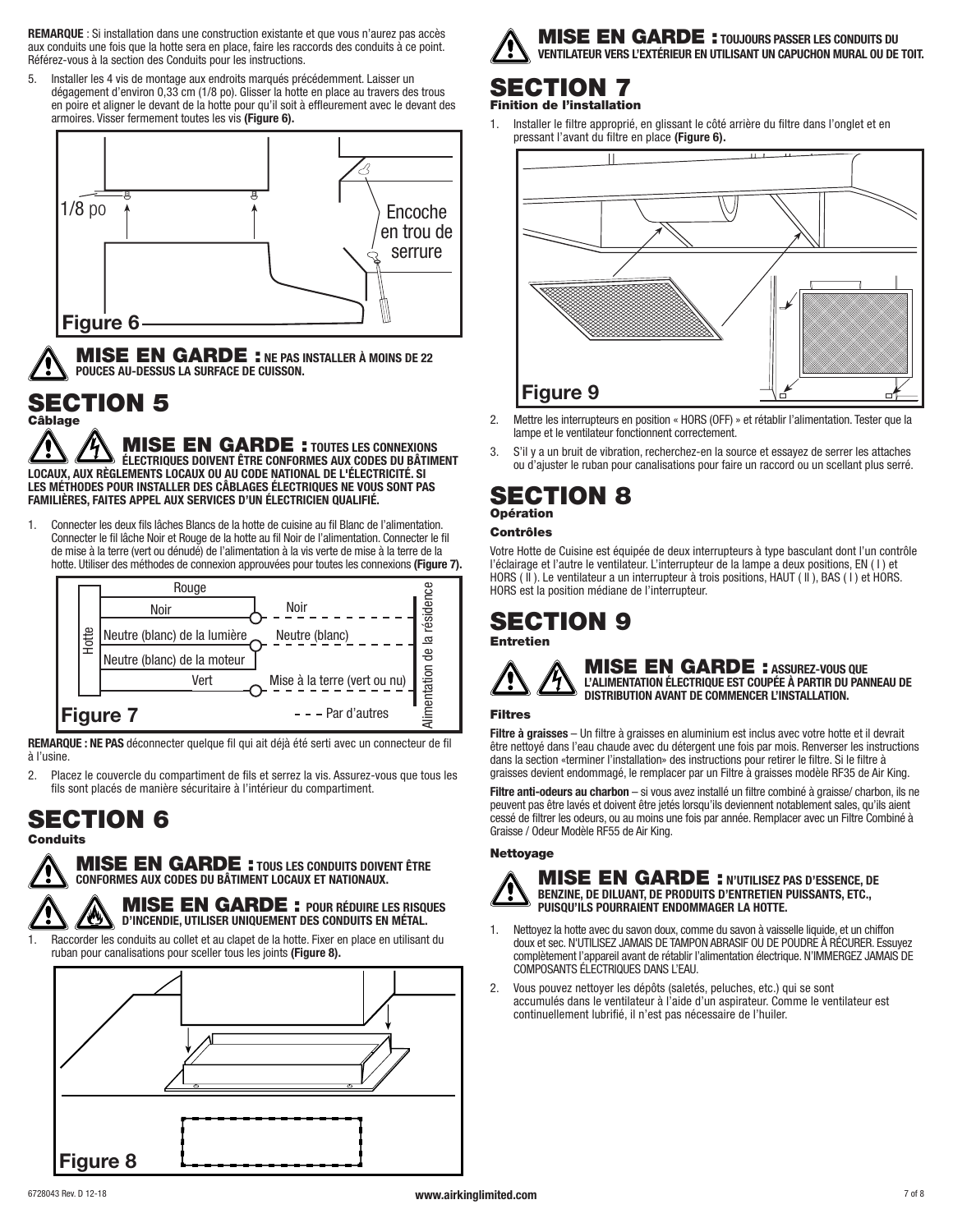**REMARQUE** : Si installation dans une construction existante et que vous n'aurez pas accès aux conduits une fois que la hotte sera en place, faire les raccords des conduits à ce point. Référez-vous à la section des Conduits pour les instructions.

Installer les 4 vis de montage aux endroits marqués précédemment. Laisser un dégagement d'environ 0,33 cm (1/8 po). Glisser la hotte en place au travers des trous en poire et aligner le devant de la hotte pour qu'il soit à effleurement avec le devant des armoires. Visser fermement toutes les vis **(Figure 6).**



MISE EN GARDE : **NE PAS INSTALLER À MOINS DE 22 POUCES AU-DESSUS LA SURFACE DE CUISSON.**

### SECTION 5 âblage

MISE EN GARDE : **TOUTES LES CONNEXIONS ÉLECTRIQUES DOIVENT ÊTRE CONFORMES AUX CODES DU BÂTIMENT LOCAUX, AUX RÈGLEMENTS LOCAUX OU AU CODE NATIONAL DE L'ÉLECTRICITÉ. SI LES MÉTHODES POUR INSTALLER DES CÂBLAGES ÉLECTRIQUES NE VOUS SONT PAS FAMILIÈRES, FAITES APPEL AUX SERVICES D'UN ÉLECTRICIEN QUALIFIÉ.**

1. Connecter les deux fils lâches Blancs de la hotte de cuisine au fil Blanc de l'alimentation. Connecter le fil lâche Noir et Rouge de la hotte au fil Noir de l'alimentation. Connecter le fil de mise à la terre (vert ou dénudé) de l'alimentation à la vis verte de mise à la terre de la hotte. Utiliser des méthodes de connexion approuvées pour toutes les connexions **(Figure 7).**



**REMARQUE : NE PAS** déconnecter quelque fil qui ait déjà été serti avec un connecteur de fil à l'usine.

2. Placez le couvercle du compartiment de fils et serrez la vis. Assurez-vous que tous les fils sont placés de manière sécuritaire à l'intérieur du compartiment.

# SECTION 6

**Conduits** 

MISE EN GARDE : **TOUS LES CONDUITS DOIVENT ÊTRE CONFORMES AUX CODES DU BÂTIMENT LOCAUX ET NATIONAUX.**

MISE EN GARDE : **POUR RÉDUIRE LES RISQUES D'INCENDIE, UTILISER UNIQUEMENT DES CONDUITS EN MÉTAL.**

Raccorder les conduits au collet et au clapet de la hotte. Fixer en place en utilisant du ruban pour canalisations pour sceller tous les joints **(Figure 8).**





### SECTION 7 Finition de l'installation

1. Installer le filtre approprié, en glissant le côté arrière du filtre dans l'onglet et en pressant l'avant du filtre en place **(Figure 6).**



- 2. Mettre les interrupteurs en position « HORS (OFF) » et rétablir l'alimentation. Tester que la lampe et le ventilateur fonctionnent correctement.
- 3. S'il y a un bruit de vibration, recherchez-en la source et essayez de serrer les attaches ou d'ajuster le ruban pour canalisations pour faire un raccord ou un scellant plus serré.

# SECTION 8 Opération

### Contrôles

Votre Hotte de Cuisine est équipée de deux interrupteurs à type basculant dont l'un contrôle l'éclairage et l'autre le ventilateur. L'interrupteur de la lampe a deux positions, EN (1) et HORS ( II ). Le ventilateur a un interrupteur à trois positions, HAUT ( II ), BAS ( I ) et HORS. HORS est la position médiane de l'interrupteur.

### SECTION 9 Entretien



MISE EN GARDE : **ASSUREZ-VOUS QUE L'ALIMENTATION ÉLECTRIQUE EST COUPÉE À PARTIR DU PANNEAU DE DISTRIBUTION AVANT DE COMMENCER L'INSTALLATION.**

### Filtres

**Filtre à graisses** – Un filtre à graisses en aluminium est inclus avec votre hotte et il devrait être nettoyé dans l'eau chaude avec du détergent une fois par mois. Renverser les instructions dans la section «terminer l'installation» des instructions pour retirer le filtre. Si le filtre à graisses devient endommagé, le remplacer par un Filtre à graisses modèle RF35 de Air King.

**Filtre anti-odeurs au charbon** – si vous avez installé un filtre combiné à graisse/ charbon, ils ne peuvent pas être lavés et doivent être jetés lorsqu'ils deviennent notablement sales, qu'ils aient cessé de filtrer les odeurs, ou au moins une fois par année. Remplacer avec un Filtre Combiné à Graisse / Odeur Modèle RF55 de Air King.

### Nettoyage



### MISE EN GARDE : **N'UTILISEZ PAS D'ESSENCE, DE BENZINE, DE DILUANT, DE PRODUITS D'ENTRETIEN PUISSANTS, ETC., PUISQU'ILS POURRAIENT ENDOMMAGER LA HOTTE.**

- 1. Nettoyez la hotte avec du savon doux, comme du savon à vaisselle liquide, et un chiffon doux et sec. N'UTILISEZ JAMAIS DE TAMPON ABRASIF OU DE POUDRE À RÉCURER. Essuyez complètement l'appareil avant de rétablir l'alimentation électrique. N'IMMERGEZ JAMAIS DE COMPOSANTS ÉLECTRIQUES DANS L'EAU.
- 2. Vous pouvez nettoyer les dépôts (saletés, peluches, etc.) qui se sont accumulés dans le ventilateur à l'aide d'un aspirateur. Comme le ventilateur est continuellement lubrifié, il n'est pas nécessaire de l'huiler.